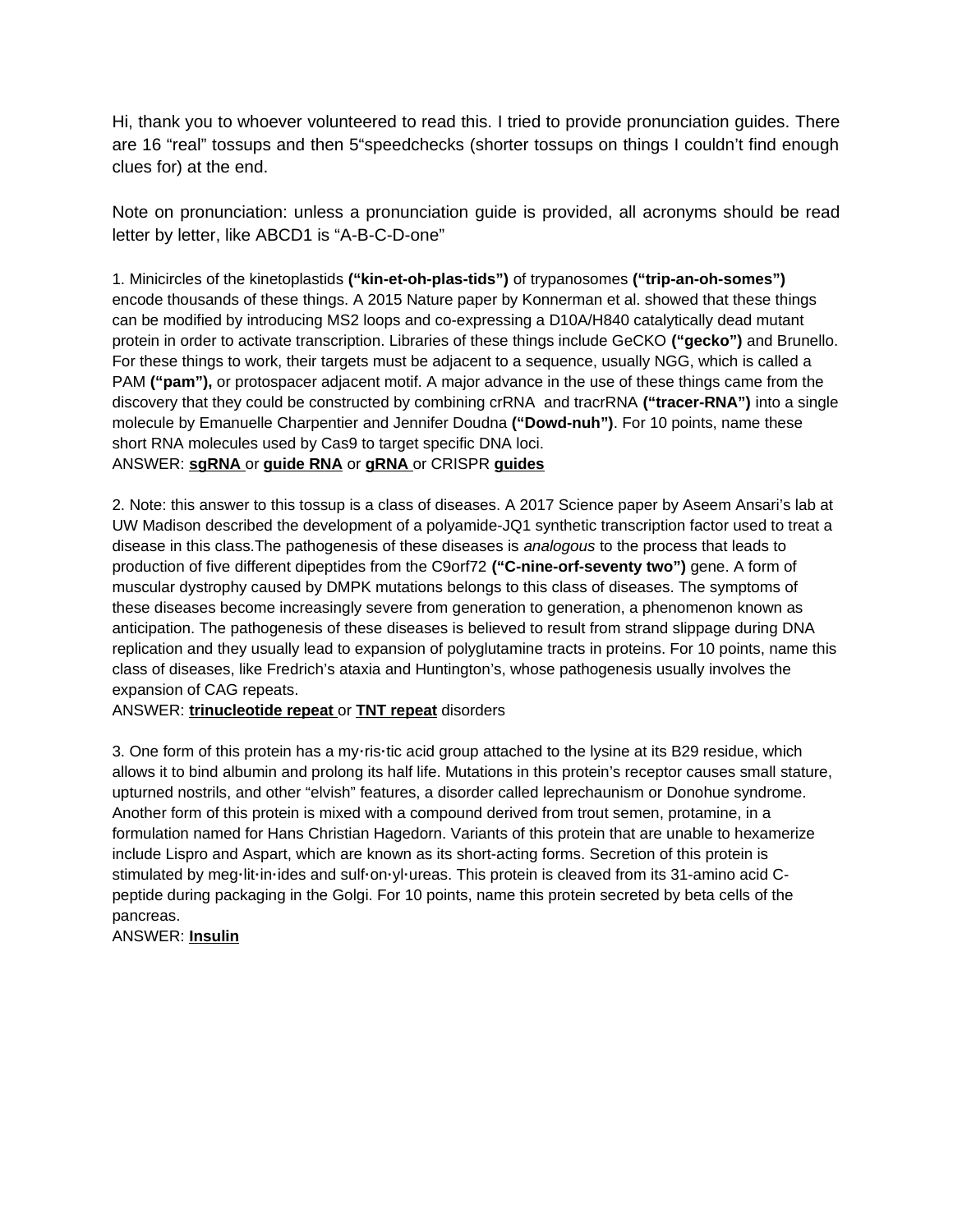Hi, thank you to whoever volunteered to read this. I tried to provide pronunciation guides. There are 16 "real" tossups and then 5"speedchecks (shorter tossups on things I couldn't find enough clues for) at the end.

Note on pronunciation: unless a pronunciation guide is provided, all acronyms should be read letter by letter, like ABCD1 is "A-B-C-D-one"

1. Minicircles of the kinetoplastids **("kin-et-oh-plas-tids")** of trypanosomes **("trip-an-oh-somes")** encode thousands of these things. A 2015 Nature paper by Konnerman et al. showed that these things can be modified by introducing MS2 loops and co-expressing a D10A/H840 catalytically dead mutant protein in order to activate transcription. Libraries of these things include GeCKO **("gecko")** and Brunello. For these things to work, their targets must be adjacent to a sequence, usually NGG, which is called a PAM **("pam"),** or protospacer adjacent motif. A major advance in the use of these things came from the discovery that they could be constructed by combining crRNA and tracrRNA **("tracer-RNA")** into a single molecule by Emanuelle Charpentier and Jennifer Doudna **("Dowd-nuh")**. For 10 points, name these short RNA molecules used by Cas9 to target specific DNA loci. ANSWER: **sgRNA** or **guide RNA** or **gRNA** or CRISPR **guides**

2. Note: this answer to this tossup is a class of diseases. A 2017 Science paper by Aseem Ansari's lab at UW Madison described the development of a polyamide-JQ1 synthetic transcription factor used to treat a disease in this class.The pathogenesis of these diseases is *analogous* to the process that leads to production of five different dipeptides from the C9orf72 **("C-nine-orf-seventy two")** gene. A form of muscular dystrophy caused by DMPK mutations belongs to this class of diseases. The symptoms of these diseases become increasingly severe from generation to generation, a phenomenon known as anticipation. The pathogenesis of these diseases is believed to result from strand slippage during DNA replication and they usually lead to expansion of polyglutamine tracts in proteins. For 10 points, name this class of diseases, like Fredrich's ataxia and Huntington's, whose pathogenesis usually involves the expansion of CAG repeats.

ANSWER: **trinucleotide repeat** or **TNT repeat** disorders

3. One form of this protein has a my**·**ris**·**tic acid group attached to the lysine at its B29 residue, which allows it to bind albumin and prolong its half life. Mutations in this protein's receptor causes small stature, upturned nostrils, and other "elvish" features, a disorder called leprechaunism or Donohue syndrome. Another form of this protein is mixed with a compound derived from trout semen, protamine, in a formulation named for Hans Christian Hagedorn. Variants of this protein that are unable to hexamerize include Lispro and Aspart, which are known as its short-acting forms. Secretion of this protein is stimulated by meg**·**lit**·**in**·**ides and sulf**·**on**·**yl**·**ureas. This protein is cleaved from its 31-amino acid Cpeptide during packaging in the Golgi. For 10 points, name this protein secreted by beta cells of the pancreas.

ANSWER: **Insulin**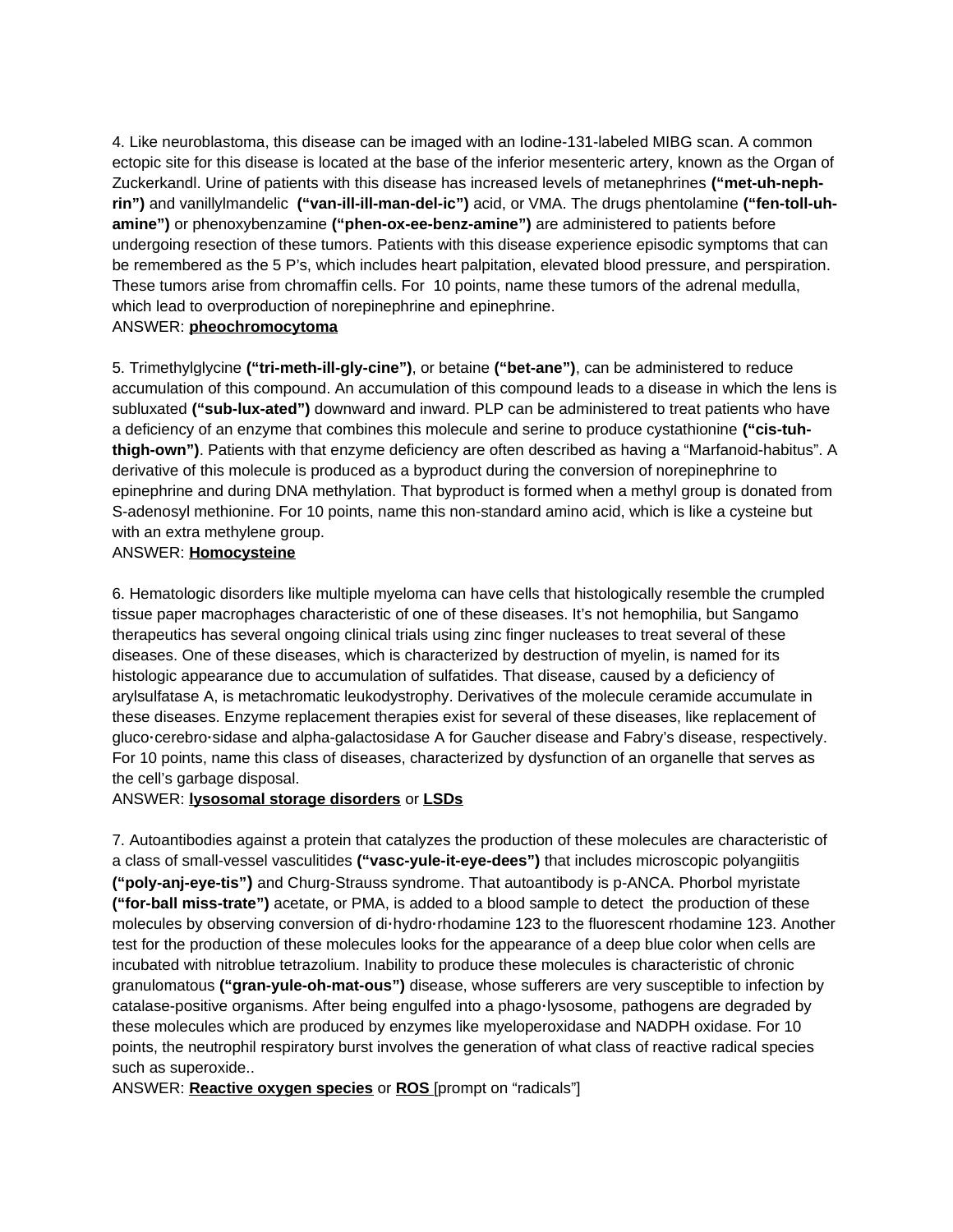4. Like neuroblastoma, this disease can be imaged with an Iodine-131-labeled MIBG scan. A common ectopic site for this disease is located at the base of the inferior mesenteric artery, known as the Organ of Zuckerkandl. Urine of patients with this disease has increased levels of metanephrines **("met-uh-nephrin")** and vanillylmandelic **("van-ill-ill-man-del-ic")** acid, or VMA. The drugs phentolamine **("fen-toll-uhamine")** or phenoxybenzamine **("phen-ox-ee-benz-amine")** are administered to patients before undergoing resection of these tumors. Patients with this disease experience episodic symptoms that can be remembered as the 5 P's, which includes heart palpitation, elevated blood pressure, and perspiration. These tumors arise from chromaffin cells. For 10 points, name these tumors of the adrenal medulla, which lead to overproduction of norepinephrine and epinephrine. ANSWER: **pheochromocytoma**

# 5. Trimethylglycine **("tri-meth-ill-gly-cine")**, or betaine **("bet-ane")**, can be administered to reduce accumulation of this compound. An accumulation of this compound leads to a disease in which the lens is subluxated **("sub-lux-ated")** downward and inward. PLP can be administered to treat patients who have a deficiency of an enzyme that combines this molecule and serine to produce cystathionine **("cis-tuhthigh-own")**. Patients with that enzyme deficiency are often described as having a "Marfanoid-habitus". A derivative of this molecule is produced as a byproduct during the conversion of norepinephrine to epinephrine and during DNA methylation. That byproduct is formed when a methyl group is donated from S-adenosyl methionine. For 10 points, name this non-standard amino acid, which is like a cysteine but with an extra methylene group.

#### ANSWER: **Homocysteine**

6. Hematologic disorders like multiple myeloma can have cells that histologically resemble the crumpled tissue paper macrophages characteristic of one of these diseases. It's not hemophilia, but Sangamo therapeutics has several ongoing clinical trials using zinc finger nucleases to treat several of these diseases. One of these diseases, which is characterized by destruction of myelin, is named for its histologic appearance due to accumulation of sulfatides. That disease, caused by a deficiency of arylsulfatase A, is metachromatic leukodystrophy. Derivatives of the molecule ceramide accumulate in these diseases. Enzyme replacement therapies exist for several of these diseases, like replacement of gluco**·**cerebro**·**sidase and alpha-galactosidase A for Gaucher disease and Fabry's disease, respectively. For 10 points, name this class of diseases, characterized by dysfunction of an organelle that serves as the cell's garbage disposal.

## ANSWER: **lysosomal storage disorders** or **LSDs**

7. Autoantibodies against a protein that catalyzes the production of these molecules are characteristic of a class of small-vessel vasculitides **("vasc-yule-it-eye-dees")** that includes microscopic polyangiitis **("poly-anj-eye-tis")** and Churg-Strauss syndrome. That autoantibody is p-ANCA. Phorbol myristate **("for-ball miss-trate")** acetate, or PMA, is added to a blood sample to detect the production of these molecules by observing conversion of di**·**hydro**·**rhodamine 123 to the fluorescent rhodamine 123. Another test for the production of these molecules looks for the appearance of a deep blue color when cells are incubated with nitroblue tetrazolium. Inability to produce these molecules is characteristic of chronic granulomatous **("gran-yule-oh-mat-ous")** disease, whose sufferers are very susceptible to infection by catalase-positive organisms. After being engulfed into a phago**·**lysosome, pathogens are degraded by these molecules which are produced by enzymes like myeloperoxidase and NADPH oxidase. For 10 points, the neutrophil respiratory burst involves the generation of what class of reactive radical species such as superoxide..

ANSWER: **Reactive oxygen species** or **ROS** [prompt on "radicals"]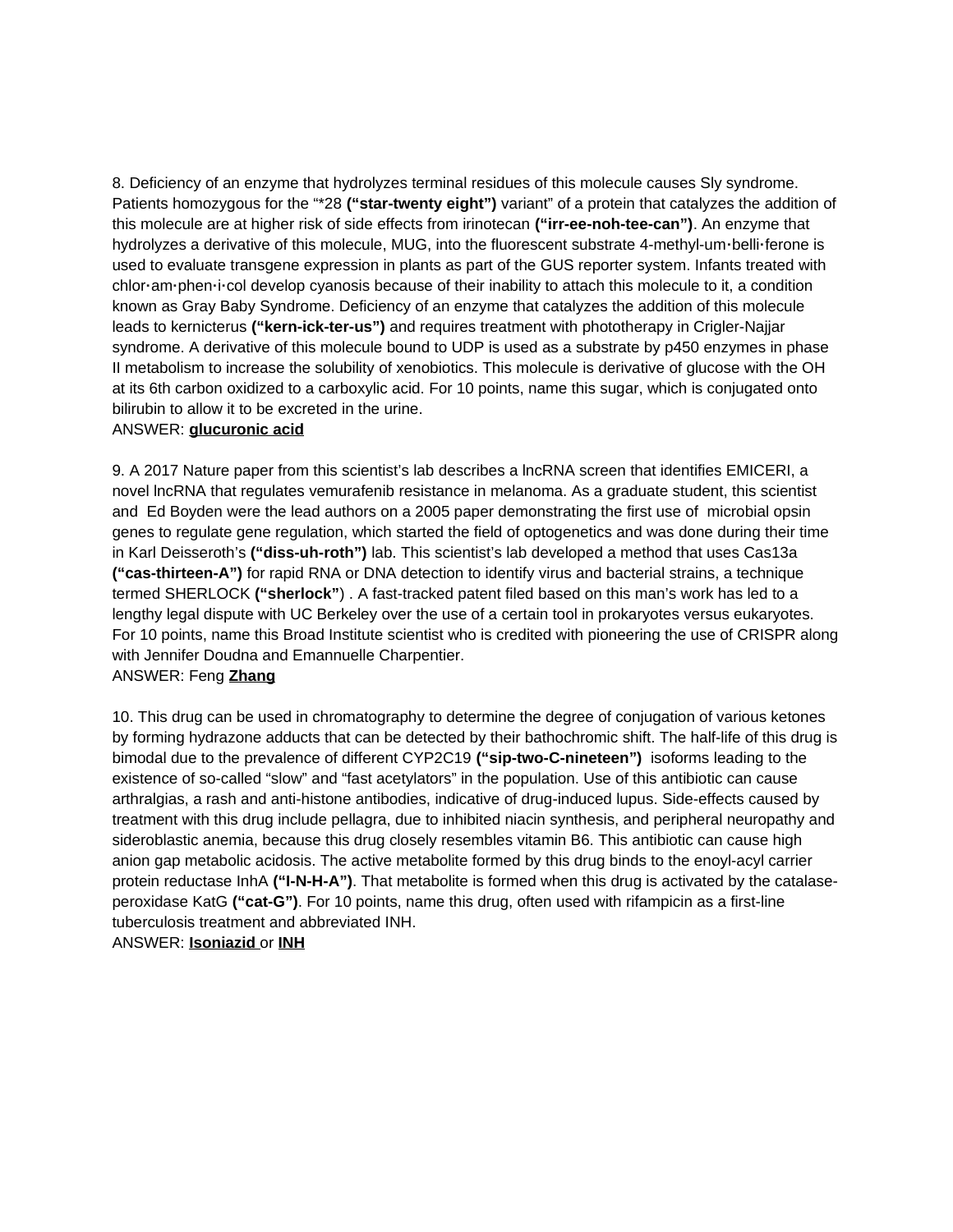8. Deficiency of an enzyme that hydrolyzes terminal residues of this molecule causes Sly syndrome. Patients homozygous for the "\*28 **("star-twenty eight")** variant" of a protein that catalyzes the addition of this molecule are at higher risk of side effects from irinotecan **("irr-ee-noh-tee-can")**. An enzyme that hydrolyzes a derivative of this molecule, MUG, into the fluorescent substrate 4-methyl-um**·**belli**·**ferone is used to evaluate transgene expression in plants as part of the GUS reporter system. Infants treated with chlor**·**am**·**phen**·**i**·**col develop cyanosis because of their inability to attach this molecule to it, a condition known as Gray Baby Syndrome. Deficiency of an enzyme that catalyzes the addition of this molecule leads to kernicterus **("kern-ick-ter-us")** and requires treatment with phototherapy in Crigler-Najjar syndrome. A derivative of this molecule bound to UDP is used as a substrate by p450 enzymes in phase II metabolism to increase the solubility of xenobiotics. This molecule is derivative of glucose with the OH at its 6th carbon oxidized to a carboxylic acid. For 10 points, name this sugar, which is conjugated onto bilirubin to allow it to be excreted in the urine.

#### ANSWER: **glucuronic acid**

9. A 2017 Nature paper from this scientist's lab describes a lncRNA screen that identifies EMICERI, a novel lncRNA that regulates vemurafenib resistance in melanoma. As a graduate student, this scientist and Ed Boyden were the lead authors on a 2005 paper demonstrating the first use of microbial opsin genes to regulate gene regulation, which started the field of optogenetics and was done during their time in Karl Deisseroth's **("diss-uh-roth")** lab. This scientist's lab developed a method that uses Cas13a **("cas-thirteen-A")** for rapid RNA or DNA detection to identify virus and bacterial strains, a technique termed SHERLOCK **("sherlock"**) . A fast-tracked patent filed based on this man's work has led to a lengthy legal dispute with UC Berkeley over the use of a certain tool in prokaryotes versus eukaryotes. For 10 points, name this Broad Institute scientist who is credited with pioneering the use of CRISPR along with Jennifer Doudna and Emannuelle Charpentier.

## ANSWER: Feng **Zhang**

10. This drug can be used in chromatography to determine the degree of conjugation of various ketones by forming hydrazone adducts that can be detected by their bathochromic shift. The half-life of this drug is bimodal due to the prevalence of different CYP2C19 **("sip-two-C-nineteen")** isoforms leading to the existence of so-called "slow" and "fast acetylators" in the population. Use of this antibiotic can cause arthralgias, a rash and anti-histone antibodies, indicative of drug-induced lupus. Side-effects caused by treatment with this drug include pellagra, due to inhibited niacin synthesis, and peripheral neuropathy and sideroblastic anemia, because this drug closely resembles vitamin B6. This antibiotic can cause high anion gap metabolic acidosis. The active metabolite formed by this drug binds to the enoyl-acyl carrier protein reductase InhA **("I-N-H-A")**. That metabolite is formed when this drug is activated by the catalaseperoxidase KatG **("cat-G")**. For 10 points, name this drug, often used with rifampicin as a first-line tuberculosis treatment and abbreviated INH.

ANSWER: **Isoniazid** or **INH**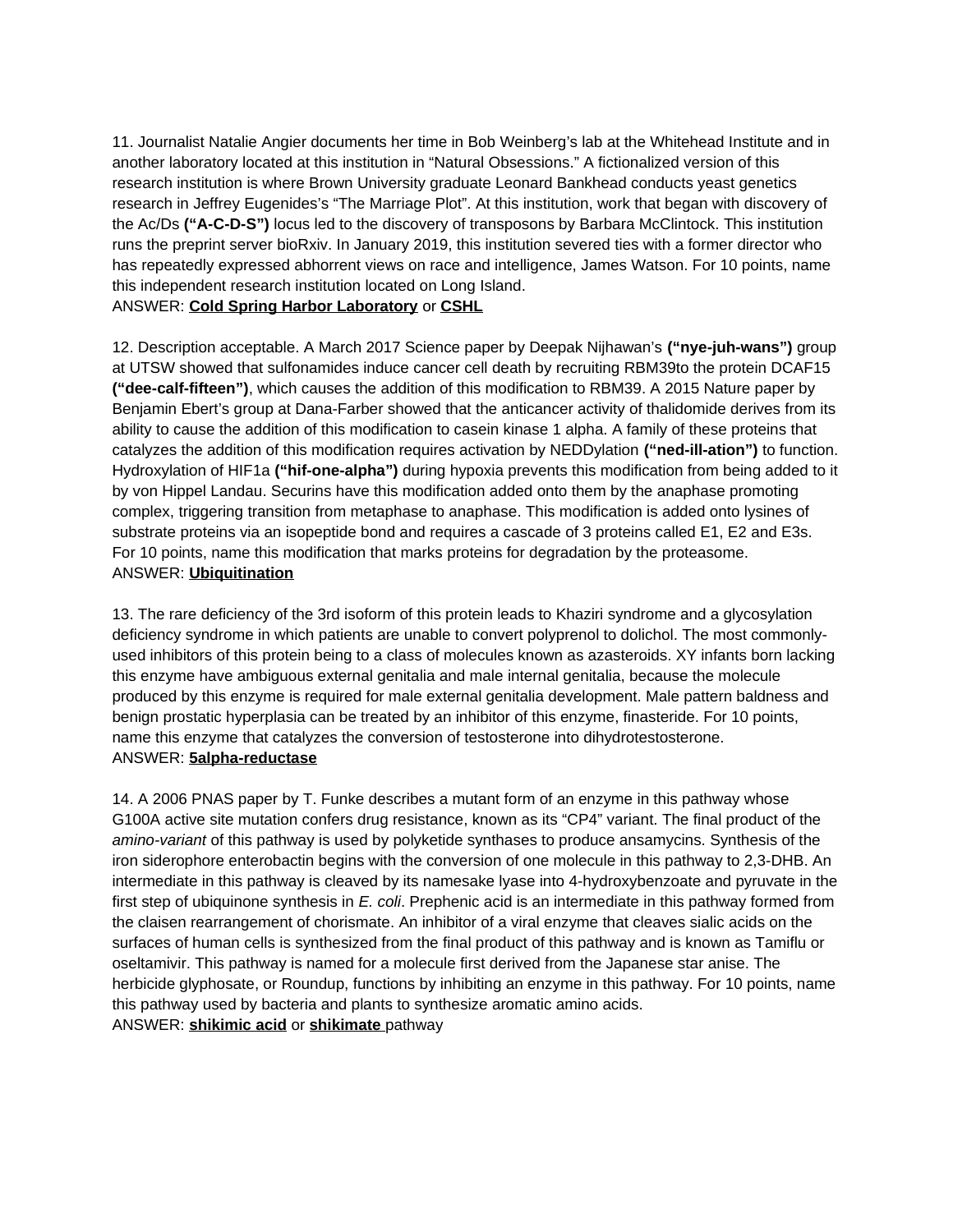11. Journalist Natalie Angier documents her time in Bob Weinberg's lab at the Whitehead Institute and in another laboratory located at this institution in "Natural Obsessions." A fictionalized version of this research institution is where Brown University graduate Leonard Bankhead conducts yeast genetics research in Jeffrey Eugenides's "The Marriage Plot". At this institution, work that began with discovery of the Ac/Ds **("A-C-D-S")** locus led to the discovery of transposons by Barbara McClintock. This institution runs the preprint server bioRxiv. In January 2019, this institution severed ties with a former director who has repeatedly expressed abhorrent views on race and intelligence, James Watson. For 10 points, name this independent research institution located on Long Island.

# ANSWER: **Cold Spring Harbor Laboratory** or **CSHL**

12. Description acceptable. A March 2017 Science paper by Deepak Nijhawan's **("nye-juh-wans")** group at UTSW showed that sulfonamides induce cancer cell death by recruiting RBM39to the protein DCAF15 **("dee-calf-fifteen")**, which causes the addition of this modification to RBM39. A 2015 Nature paper by Benjamin Ebert's group at Dana-Farber showed that the anticancer activity of thalidomide derives from its ability to cause the addition of this modification to casein kinase 1 alpha. A family of these proteins that catalyzes the addition of this modification requires activation by NEDDylation **("ned-ill-ation")** to function. Hydroxylation of HIF1a **("hif-one-alpha")** during hypoxia prevents this modification from being added to it by von Hippel Landau. Securins have this modification added onto them by the anaphase promoting complex, triggering transition from metaphase to anaphase. This modification is added onto lysines of substrate proteins via an isopeptide bond and requires a cascade of 3 proteins called E1, E2 and E3s. For 10 points, name this modification that marks proteins for degradation by the proteasome. ANSWER: **Ubiquitination**

13. The rare deficiency of the 3rd isoform of this protein leads to Khaziri syndrome and a glycosylation deficiency syndrome in which patients are unable to convert polyprenol to dolichol. The most commonlyused inhibitors of this protein being to a class of molecules known as azasteroids. XY infants born lacking this enzyme have ambiguous external genitalia and male internal genitalia, because the molecule produced by this enzyme is required for male external genitalia development. Male pattern baldness and benign prostatic hyperplasia can be treated by an inhibitor of this enzyme, finasteride. For 10 points, name this enzyme that catalyzes the conversion of testosterone into dihydrotestosterone. ANSWER: **5alpha-reductase**

14. A 2006 PNAS paper by T. Funke describes a mutant form of an enzyme in this pathway whose G100A active site mutation confers drug resistance, known as its "CP4" variant. The final product of the *amino-variant* of this pathway is used by polyketide synthases to produce ansamycins. Synthesis of the iron siderophore enterobactin begins with the conversion of one molecule in this pathway to 2,3-DHB. An intermediate in this pathway is cleaved by its namesake lyase into 4-hydroxybenzoate and pyruvate in the first step of ubiquinone synthesis in *E. coli*. Prephenic acid is an intermediate in this pathway formed from the claisen rearrangement of chorismate. An inhibitor of a viral enzyme that cleaves sialic acids on the surfaces of human cells is synthesized from the final product of this pathway and is known as Tamiflu or oseltamivir. This pathway is named for a molecule first derived from the Japanese star anise. The herbicide glyphosate, or Roundup, functions by inhibiting an enzyme in this pathway. For 10 points, name this pathway used by bacteria and plants to synthesize aromatic amino acids. ANSWER: **shikimic acid** or **shikimate** pathway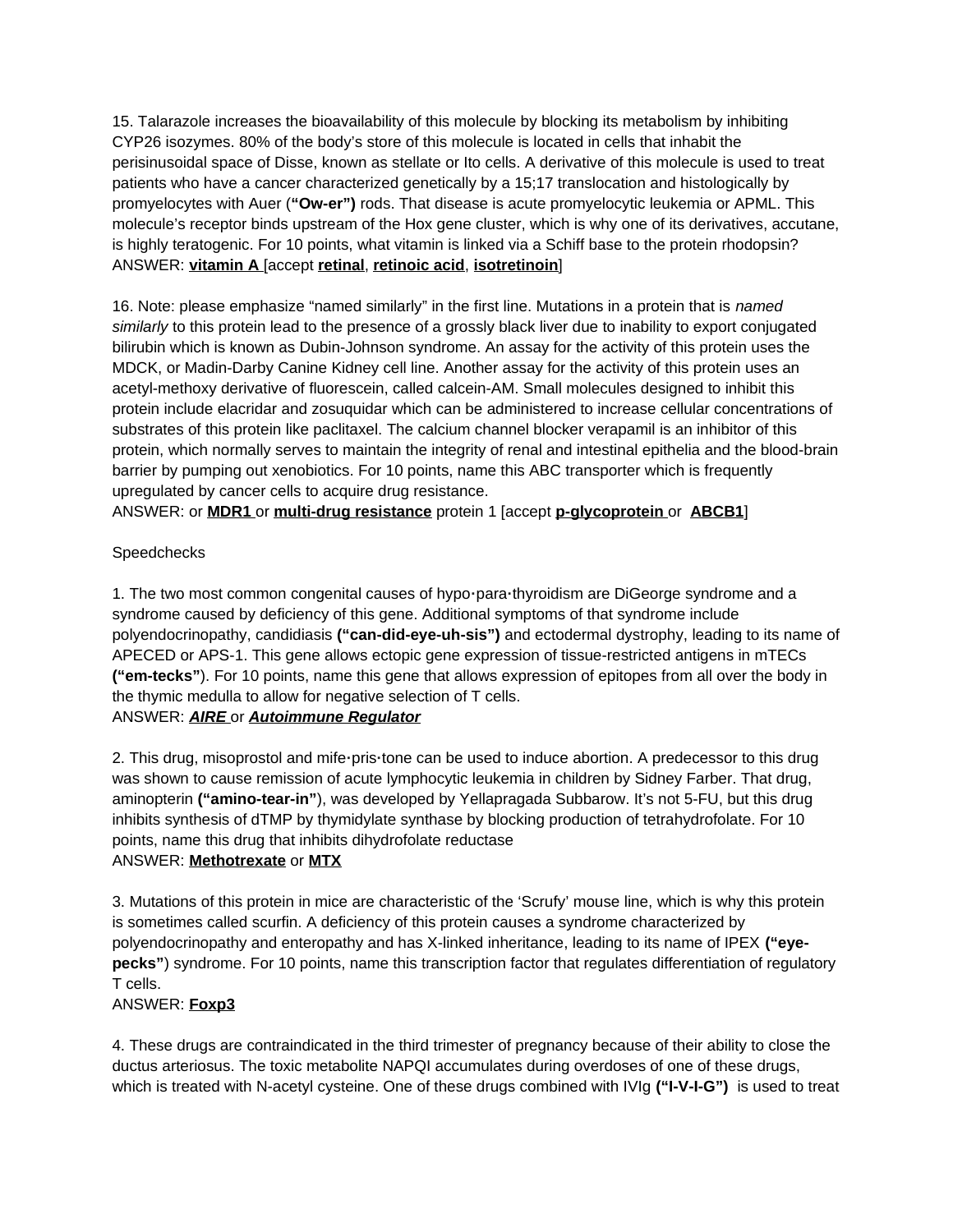15. Talarazole increases the bioavailability of this molecule by blocking its metabolism by inhibiting CYP26 isozymes. 80% of the body's store of this molecule is located in cells that inhabit the perisinusoidal space of Disse, known as stellate or Ito cells. A derivative of this molecule is used to treat patients who have a cancer characterized genetically by a 15;17 translocation and histologically by promyelocytes with Auer (**"Ow-er")** rods. That disease is acute promyelocytic leukemia or APML. This molecule's receptor binds upstream of the Hox gene cluster, which is why one of its derivatives, accutane, is highly teratogenic. For 10 points, what vitamin is linked via a Schiff base to the protein rhodopsin? ANSWER: **vitamin A** [accept **retinal**, **retinoic acid**, **isotretinoin**]

16. Note: please emphasize "named similarly" in the first line. Mutations in a protein that is *named similarly* to this protein lead to the presence of a grossly black liver due to inability to export conjugated bilirubin which is known as Dubin-Johnson syndrome. An assay for the activity of this protein uses the MDCK, or Madin-Darby Canine Kidney cell line. Another assay for the activity of this protein uses an acetyl-methoxy derivative of fluorescein, called calcein-AM. Small molecules designed to inhibit this protein include elacridar and zosuquidar which can be administered to increase cellular concentrations of substrates of this protein like paclitaxel. The calcium channel blocker verapamil is an inhibitor of this protein, which normally serves to maintain the integrity of renal and intestinal epithelia and the blood-brain barrier by pumping out xenobiotics. For 10 points, name this ABC transporter which is frequently upregulated by cancer cells to acquire drug resistance.

ANSWER: or **MDR1** or **multi-drug resistance** protein 1 [accept **p-glycoprotein** or **ABCB1**]

# Speedchecks

1. The two most common congenital causes of hypo**·**para**·**thyroidism are DiGeorge syndrome and a syndrome caused by deficiency of this gene. Additional symptoms of that syndrome include polyendocrinopathy, candidiasis **("can-did-eye-uh-sis")** and ectodermal dystrophy, leading to its name of APECED or APS-1. This gene allows ectopic gene expression of tissue-restricted antigens in mTECs **("em-tecks"**). For 10 points, name this gene that allows expression of epitopes from all over the body in the thymic medulla to allow for negative selection of T cells. ANSWER: *AIRE* or *Autoimmune Regulator*

2. This drug, misoprostol and mife**·**pris**·**tone can be used to induce abortion. A predecessor to this drug was shown to cause remission of acute lymphocytic leukemia in children by Sidney Farber. That drug, aminopterin **("amino-tear-in"**), was developed by Yellapragada Subbarow. It's not 5-FU, but this drug inhibits synthesis of dTMP by thymidylate synthase by blocking production of tetrahydrofolate. For 10 points, name this drug that inhibits dihydrofolate reductase

## ANSWER: **Methotrexate** or **MTX**

3. Mutations of this protein in mice are characteristic of the 'Scrufy' mouse line, which is why this protein is sometimes called scurfin. A deficiency of this protein causes a syndrome characterized by polyendocrinopathy and enteropathy and has X-linked inheritance, leading to its name of IPEX **("eyepecks"**) syndrome. For 10 points, name this transcription factor that regulates differentiation of regulatory T cells.

## ANSWER: **Foxp3**

4. These drugs are contraindicated in the third trimester of pregnancy because of their ability to close the ductus arteriosus. The toxic metabolite NAPQI accumulates during overdoses of one of these drugs, which is treated with N-acetyl cysteine. One of these drugs combined with IVIg **("I-V-I-G")** is used to treat